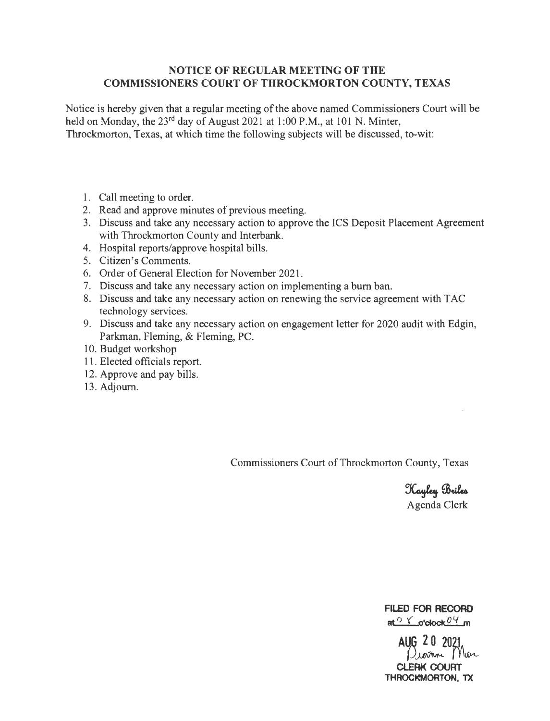## **NOTICE OF REGULAR MEETING OF THE COMMISSIONERS COURT OF THROCKMORTON COUNTY, TEXAS**

Notice is hereby given that a regular meeting of the above named Commissioners Court will be held on Monday, the 23<sup>rd</sup> day of August 2021 at 1:00 P.M., at 101 N. Minter, Throckmorton, Texas, at which time the following subjects will be discussed, to-wit:

- 1. Call meeting to order.
- 2. Read and approve minutes of previous meeting.
- 3. Discuss and take any necessary action to approve the ICS Deposit Placement Agreement with Throckmorton County and Interbank.
- 4. Hospital reports/approve hospital bills.
- 5. Citizen's Comments.
- 6. Order of General Election for November 2021.
- 7. Discuss and take any necessary action on implementing a burn ban.
- 8. Discuss and take any necessary action on renewing the service agreement with TAC technology services.
- 9. Discuss and take any necessary action on engagement letter for 2020 audit with Edgin, Parkman, Fleming, & Fleming, PC.
- 10. Budget workshop
- 11 . Elected officials report.
- 12. Approve and pay bills.
- 13. Adjourn.

Commissioners Court of Throckmorton County, Texas

Kayley Briles Agenda Clerk

**FILED FOR RECORD**   $at$ <sup> $\circ$ </sup>  $\checkmark$  o'clock  $0$ <sup> $\vee$ </sup> m

AUG 20 2021 **CLERK COURT THROCKMORTON, TX**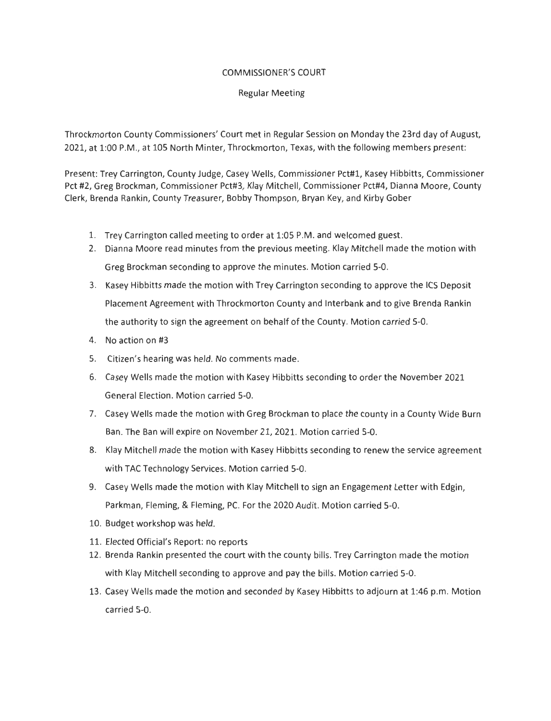### COMMISSIONER'S COURT

## Regular Meeting

Throckmorton County Commissioners' Court met in Regular Session on Monday the 23rd day of August, 2021, at 1:00 P.M., at 105 North Minter, Throckmorton, Texas, with the following members present:

Present: Trey Carrington, County Judge, Casey Wells, Commissioner Pct#l, Kasey Hibbitts, Commissioner Pct #2, Greg Brockman, Commissioner Pct#3, Klay Mitchell, Commissioner Pct#4, Dianna Moore, County Clerk, Brenda Rankin, County Treasurer, Bobby Thompson, Bryan Key, and Kirby Gober

- 1. Trey Carrington called meeting to order at 1:05 P.M. and welcomed guest.
- 2. Dianna Moore read minutes from the previous meeting. Klay Mitchell made the motion with Greg Brockman seconding to approve the minutes. Motion carried 5-0.
- 3. Kasey Hibbitts made the motion with Trey Carrington seconding to approve the ICS Deposit Placement Agreement with Throckmorton County and Interbank and to give Brenda Rankin the authority to sign the agreement on behalf of the County. Motion carried 5-0.
- 4. No action on #3
- 5. Citizen's hearing was held. No comments made.
- 6. Casey Wells made the motion with Kasey Hibbitts seconding to order the November 2021 General Election. Motion carried 5-0.
- 7. Casey Wells made the motion with Greg Brockman to place the county in a County Wide Burn Ban. The Ban will expire on November 21, 2021. Motion carried 5-0.
- 8. Klay Mitchell made the motion with Kasey Hibbitts seconding to renew the service agreement with TAC Technology Services. Motion carried 5-0.
- 9. Casey Wells made the motion with Klay Mitchell to sign an Engagement Letter with Edgin, Parkman, Fleming, & Fleming, PC. For the 2020 Audit. Motion carried 5-0.
- 10. Budget workshop was held.
- 11. Elected Official's Report: no reports
- 12. Brenda Rankin presented the court with the county bills. Trey Carrington made the motion with Klay Mitchell seconding to approve and pay the bills. Motion carried 5-0.
- 13. Casey Wells made the motion and seconded by Kasey Hibbitts to adjourn at 1:46 p.m. Motion carried 5-0.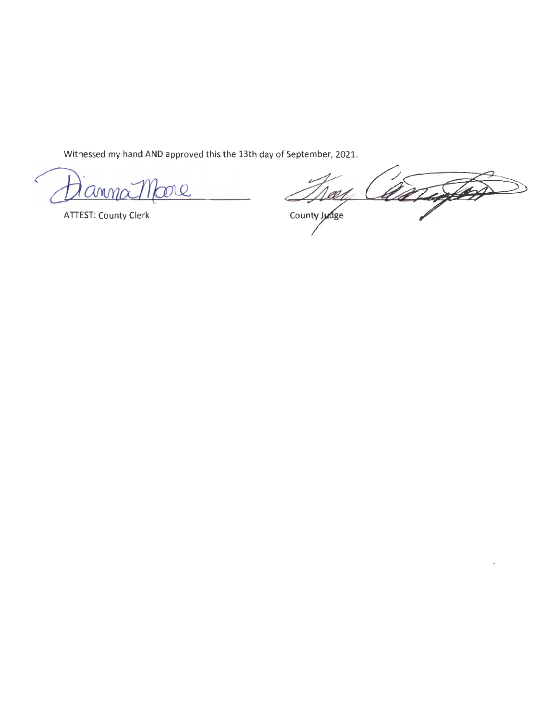Witnessed my hand AND approved this the 13th day of September, 2021.

me  $AMM\alpha$ 

**ATTEST: County Clerk** 

ange W1 County judge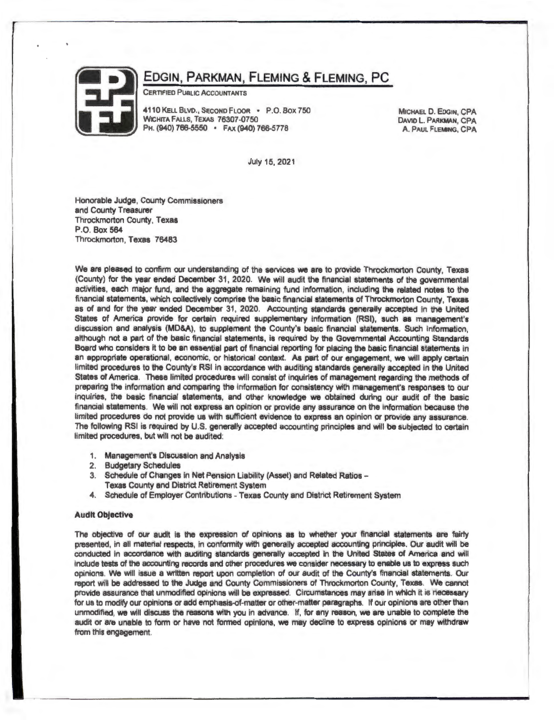

# EDGIN, PARKMAN, FLEMING & FLEMING, PC

CERTIFIED PUBLIC ACCOUNTANTS

4110 KELL BLVD., SECOND FLOOR • P.O. BOX 750 WICHITA FALLS, TEXAS 76307-0750 PH. (940) 766-5550 • FAX (940) 766-5778

MICHAEL D. EDGIN, CPA DAVID L. PARKMAN, CPA A . PAUL FLEMING, CPA

July 15, 2021

Honorable Judge, County Commissioners and County Treasurer Throckmorton County, Texas P.O. Box 564 Throckmorton, Texas 76483

We are pleased to confirm our understanding of the services we are to provide Throckmorton County, Texas (County) for the year ended December 31 , 2020. We will audit the financial statements of the governmental activities, each major fund, and the aggregate remaining fund lnfonnation, including the related notes to the financial statements, which collectively comprise the basic financial statements of Throckmorton County, Texas as of and for the year ended December 31 , 2020. Accounting standards generally accepted in the United States of America provide for certain required supplementary information (RSI), such as management's discussion and analysis (MD&A), to supplement the County's basic financial statements. Such information, although not a part of the basic financial statements, is required by the Govemmental Accounting Standards Board who considers it to be an essential part of financial reporting for placing the basic financial statements in an appropriate operational, economic, or historical context. As part of our engagement, we will apply certain limited procedures to the County's RSI in accordance with auditing standards generally accepted in the United States of America. These limited procedures will consist of inquiries of management regarding the methods of preparing the information and comparing the information for consistency with management's responses to our inquiries, the basic financial statements, and other knowledge we obtained during our audit of the basic financial statements. We will not express an opinion or provide any assurance on the information because the limited procedures do not provide us with sufficient evidence to express an opinion or provide any assurance. The following RSI is required by U.S. generally accepted accounting principles and will be subjected to certain limited procedures, but will not be audited:

- 1. Management's Discussion and Analysis
- 2. Budgetary Schedules
- 3. Schedule of Changes in Net Pension liability (Asset) and Related Ratios Texas County and District Retirement System
- 4. Schedule of Employer Contributions Texas County and District Retirement System

#### Audit Objective

The objective of our audit is the expression of opinions as to whether your financial statements are fairly presented, in all material respects, in conformity with generally accepted accounting principles. Our audit will be conducted in accordance With auditing standards generally accepted in the United States of America and will include tests of the accounting records and other procedures we consider necessary to enable us to express such opinions. We will issue a written report upon completion of our audit of the County's financial statements. Our report will be addressed to the Judge and County Commissioners of Throckmorton County, Texas. We cannot provide assurance that unmodified opinions will be expressed. Circumstances may arise in which it is necessary for us to modify our opinions or add emphasis.of-matter or other-matter paragraphs. If our opinions are other than unmodified, we will discuss the reasons With you in advance. If, for any reason, we are unable to complete the audit or are unable to form or have not formed opinions, we may decline to express opinions or may withdraw from this engagement.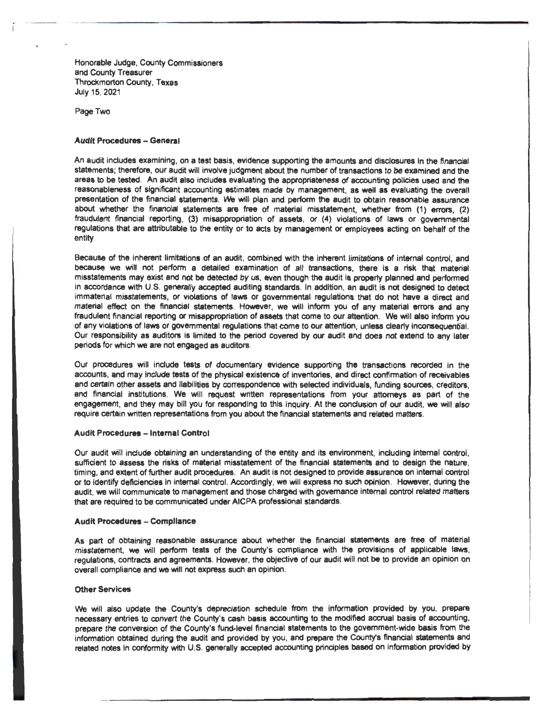Honorable Judge, County Commissioners and County Treasurer Throckmorton County, Texas July 15, 2021

Page Two

#### **Audit Procedures - General**

An audit includes examining, on a test basis, evidence supporting the amounts and disclosures in the financial statements; therefore, our audit will involve judgment about the number of transactions to be examined and the areas to be tested. An audit also includes evaluating the appropriateness of accounting policies used and the reasonableness of significant accounting estimates made by management, as well as evaluating the overall presentation of the financial statements. We will plan and perform the audit to obtain reasonable assurance about whether the financial statements are free of material misstatement, whether from (1) errors. (2) fraudulent financial reporting, (3) misappropriation of assets, or (4) violations of laws or governmental regulations that are attributable to the entity or to acts by management or employees acting on behalf of the entity.

Because of the inherent limitations of an audit, combined with the inherent limitations of internal control, and because we will not perform a detailed examination of all transactions, there is a risk that material misstatements may exist and not be detected by us, even though the audit is property planned and performed in accordance with U.S. generally accepted auditing standards. In addition, an audit is not designed to detect immaterial misstatements, or violations of laws or govemmental regulations that do not have a direct and material effect on the financial statements. However, we will inform you of any material errors and any fraudulent financial reporting or misappropriation of assets that come to our attention. We will also inform you of any violations of laws or govemmental regulations that come to our attention, unless clearly inconsequential. Our responsibility as auditors is limited to the period covered by our audit and does not extend to any later periods for which we are not engaged as auditors.

Our procedures will include tests of documentary evidence supporting the transactions recorded in the accounts, and may include tests of the physical existence of inventories, and direct confirmation of receivables and certain other assets and liabilities by correspondence with selected individuals, funding sources, creditors, and financial institutions. We will request written representations from your attorneys as part of the engagement, and they may bill you for responding to this inquiry. At the conclusion of our audit, we will also require certain written representations from you about the financial statements and related matters.

#### **Audit Procedures - Internal Control**

Our audit will include obtaining an understanding of the entity and its environment, including internal control, sufficient to assess the risks of material misstatement of the financial statements and to design the nature, timing, and extent of further audit procedures. An audit is not designed to provide assurance on internal control or to identify deficiencies in internal control. Accordingly, we Will express no such opinion. However, during the audit, we will communicate to management and those charged with governance internal control related matters that are required to be communicated under AICPA professional standards.

#### **Audit Procedures - Compliance**

As part of obtaining reasonable assurance about whether the financial statements are free of material misstatement, we will perform tests of the County's compliance with the provisions of applicable laws, regulations, contracts and agreements. However, the objective of our audit will not be to provide an opinion on overall compliance and we will not express such an opinion.

#### **Other Services**

We will also update the County's depreciation schedule from the information provided by you, prepare necessary entries to convert the County's cash basis accounting to the modified accrual basis of accounting, prepare the conversion of the County's fund-level financial statements to the government-wide basis from the information obtained during the audit and provided by you, and prepare the County's financial statements and related notes in conformity with U.S. generally accepted accounting principles based on information provided by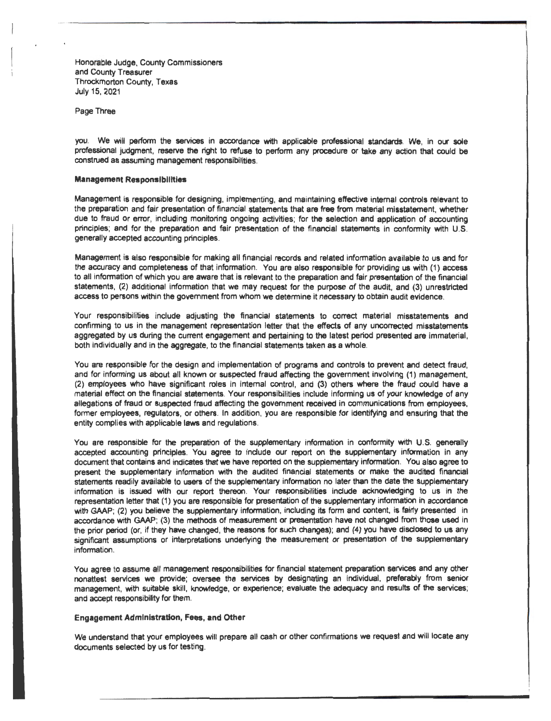Honorable Judge, County Commissioners and County Treasurer Throckmorton County, Texas July 15, 2021

Page Three

you. We will perform the services in accordance with applicable professional standards. We, in our sole professional judgment, reserve the right to refuse to perform any procedure or take any action that could be construed as assuming management responsibilities.

#### Management Responsfblllties

Management is responsible for designing, implementing, and maintaining effective internal controls relevant to the preparatlon and fair presentation of financial statements that are free from material misstatement, whether due to fraud or error, including monitoring ongoing activities; for the selection and application of accounting principles; and for the preparation and fair presentation of the financial statements in conformity with U.S. generally accepted accounting principles.

Management is also responsible for making all financial records and related information available to us and for the accuracy and completeness of that information. You are also responsible for providing us with (1) access to all information of which you are aware that is relevant to the preparation and fair presentation of the financial statements. (2) additional information that we may request for the purpose of the audit, and (3) unrestricted access to persons within the government from whom we determine it necessary to obtain audit evidence.

Your responsibilities include adjusting the financial statements to correct material misstatements and confirming to us in the management representation letter that the effects of any uncorrected misstatements aggregated by us during the current engagement and pertaining to the latest period presented are immaterial, both individually and in the aggregate, to the financial statements taken as a whole.

You are responsible for the design and implementation of programs and controls to prevent and detect fraud, and for informing us about all known or suspected fraud affecting the government involving (1) management. (2) employees who have significant roles in internal control, and (3) others where the fraud could have a material effect on the financial statements. Your responsibilities include informing us of your knowledge of any allegations of fraud or suspected fraud affecting the government received in communications from employees, former employees, regulators, or others. In addition, you are responsible for identifying and ensuring that the entity complies with applicable laws and regulations.

You are responsible for the preparation of the supplementary information in conformity with U.S. generally accepted accounting principles. You agree to include our report on the supplementary information in any document that contains and indicates that we have reported on the supplementary information. You also agree to present the supplementary information with the audited financial statements or make the audited financial statements readily available to users of the supplementary information no later than the date the supplementary information is issued with our report thereon. Your responsibilities include acknowledging to us in the representation letter that (1) you are responsible for presentation of the supplementary information in accordance with GAAP; (2) you believe the supplementary information, including its form and content, is fairly presented in accordance with GAAP; (3) the methods of measurement or presentation have not changed from those used in the prior period (or, if they have changed, the reasons for such changes); and (4) you have disclosed to us any significant assumptions or interpretations underlying the measurement or presentation of the supplementary information.

You agree to assume all management responsibilities for financial statement preparation services and any other nonattest services we provide; oversee the services by designating an individual, preferably from senior management, with suitable skill, knowledge, or experience; evaluate the adequacy and results of the services; and accept responsibility for them.

#### Engagement Administration, Fees, and Other

We understand that your employees will prepare all cash or other confirmations we request and will locate any documents selected by us for testing.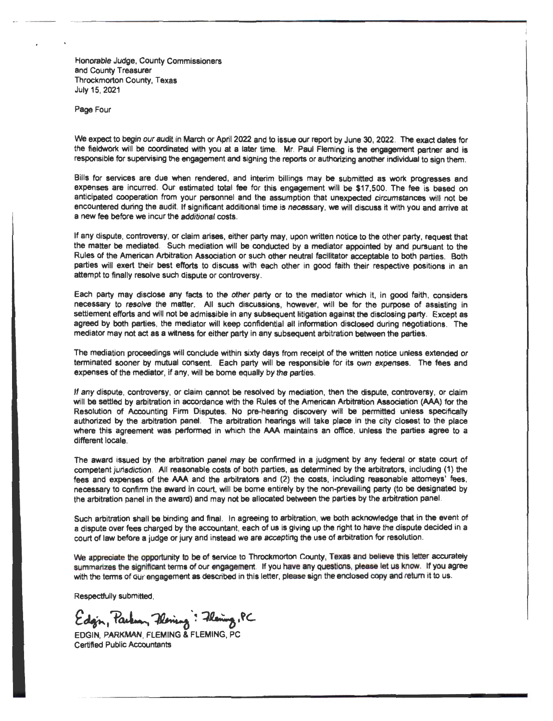Honorable Judge, County Commissioners and County Treasurer Throckmorton County, Texas July 15, 2021

Page Four

We expect to begin our audit in March or April 2022 and to issue our report by June 30, 2022. The exact dates for the fieldwork will be coordinated with you at a later time. Mr. Paul Fleming is the engagement partner and is responsible for supervising the engagement and signing the reports or authorizing another individual to sign them.

Bills for services are due when rendered, and interim billings may be submitted as work progresses and expenses are incurred. Our estimated total fee for this engagement will be \$17,500. The fee is based on anticipated cooperation from your personnel and the assumption that unexpected circumstances will not be encountered during the audit. If significant additional time is necessary, we will discuss it with you and arrive at a new fee before we incur the additional costs.

If any dispute, controversy, or claim arises, either party may, upon written notice to the other party, request that the matter be mediated. Such mediation will be conducted by a mediator appointed by and pursuant to the Rules of the American Arbitration Association or such other neutral facilitator acceptable to both parties. Both parties will exert their best efforts to discuss with each other in good faith their respective positions in an attempt to finally resolve such dispute or controversy.

Each party may disclose any facts to the other party or to the mediator which it, in good faith, considers necessary to resolve the matter. All such discussions, however, will be for the purpose of assisting in settlement efforts and will not be admissible in any subsequent litigation against the disclosing party. Except as agreed by both parties, the mediator will keep confidential all information disclosed during negotiations. The mediator may not act as a witness for either party in any subsequent arbitration between the parties.

The mediation proceedings will conclude within sixty days from receipt of the written notice unless extended or terminated sooner by mutual consent. Each party will be responsible for its own expenses. The fees and expenses of the mediator, if any, will be borne equally by the parties.

If any dispute, controversy, or claim cannot be resolved by mediation, then the dispute, controversy, or claim will be settled by arbitration in accordance with the Rules of the American Arbitration Association (AAA) for the Resolution of Accounting Firm Disputes. No pre-heating discovery will be permitted unless specifically authorized by the arbitration panel. The arbitration hearings will take place in the city closest to the place where this agreement was performed in which the AAA maintains an office, unless the parties agree to a different locale.

The award issued by the arbitration panel may be confirmed in a judgment by any federal or state court of competent jurisdiction. All reasonable costs of both parties, as determined by the arbitrators, including (1) the fees and expenses of the AAA and the arbitrators and (2) the costs, including reasonable attorneys' fees. necessary to confirm the award in court, will be borne entirely by the non-prevailing party (to be designated by the arbitration panel in the award) and may not be allocated between the parties by the arbitration panel.

Such arbitration shall be binding and final. In agreeing to arbitration, we both acknowledge that in the event of a dispute over fees charged by the accountant, each of us is giving up the right to have the dispute decided in a court of law before a judge or jury and instead we are accepting the use of arbitration for resolution.

We appreciate the opportunity to be of service to Throckmorton County, Texas and believe this letter accurately suminarizes the significant terms of our engagement. If you have any questions, please let us know. If you agree with the terms of our engagement as described in this letter, please sign the enclosed copy and return it to us.

Respectfully submitted,

Edgin, Parlian, Phening : Fleming, PC

Certified Public Accountants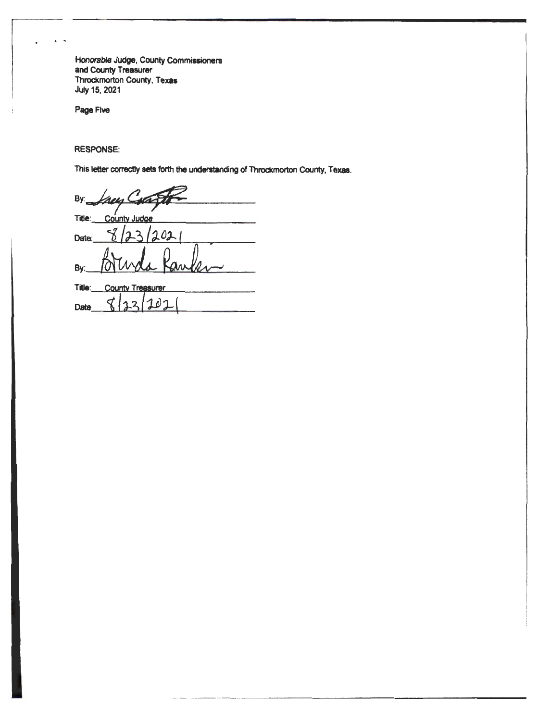Honorable Judge, County Commissioners and County Treasurer Throckmorton County, Texas **July 15, 2021** 

Page Five

**RESPONSE:** 

This letter correctly sets forth the understanding of Throckmorton County, Texas.

By: heis Title: County Judge  $1021$ Date: 0 By: Title: County Treasurer

 $\breve{\mathcal{L}}$ 1  $\overline{2}$ อา  $\Delta$ Date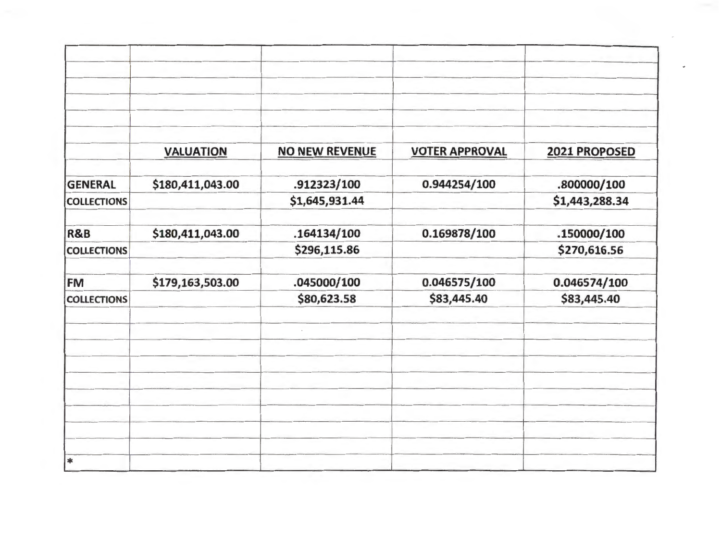|                    | <b>VALUATION</b> | <b>NO NEW REVENUE</b> | <b>VOTER APPROVAL</b> | 2021 PROPOSED  |
|--------------------|------------------|-----------------------|-----------------------|----------------|
| <b>GENERAL</b>     | \$180,411,043.00 | .912323/100           | 0.944254/100          | .800000/100    |
| <b>COLLECTIONS</b> |                  | \$1,645,931.44        |                       | \$1,443,288.34 |
| <b>R&amp;B</b>     | \$180,411,043.00 | .164134/100           | 0.169878/100          | .150000/100    |
| <b>COLLECTIONS</b> |                  | \$296,115.86          |                       | \$270,616.56   |
| FM                 | \$179,163,503.00 | .045000/100           | 0.046575/100          | 0.046574/100   |
| <b>COLLECTIONS</b> |                  | \$80,623.58           | \$83,445.40           | \$83,445.40    |
|                    |                  |                       |                       |                |
|                    |                  |                       |                       |                |
|                    |                  |                       |                       |                |
|                    |                  |                       |                       |                |
| sk                 |                  |                       |                       |                |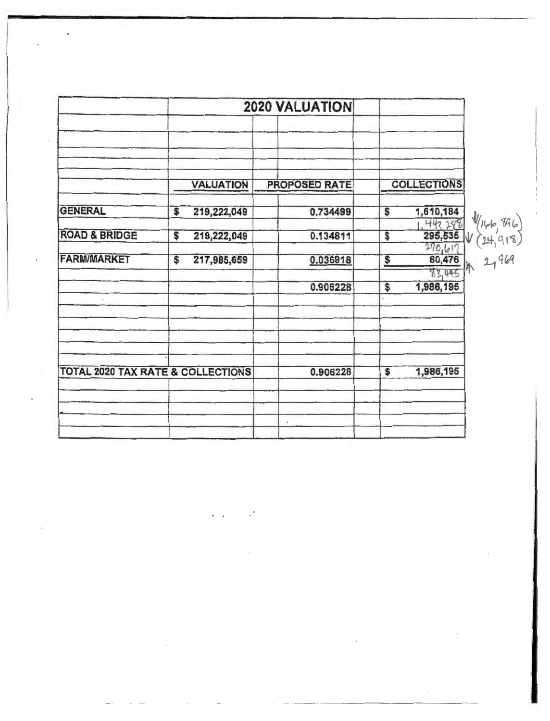|                                              | <b>2020 VALUATION</b> |                      |                                       |
|----------------------------------------------|-----------------------|----------------------|---------------------------------------|
|                                              |                       |                      |                                       |
|                                              | <b>VALUATION</b>      | <b>PROPOSED RATE</b> | <b>COLLECTIONS</b>                    |
| <b>GENERAL</b>                               | 219,222,049<br>S      | 0.734499             | 1,610,184<br>\$<br>442 288            |
| <b>ROAD &amp; BRIDGE</b>                     | 219,222,049<br>\$     | 0.134811             | 295,535<br>\$<br>270,617              |
| <b>FARM/MARKET</b>                           | 217,985,659<br>\$     | 0.036918             | 80,476<br>$\frac{1}{2}$<br>83,445     |
| $\;$                                         |                       | 0.906228             | 1,986,195<br>$\overline{\mathcal{S}}$ |
|                                              |                       |                      |                                       |
|                                              |                       |                      |                                       |
| <b>TOTAL 2020 TAX RATE &amp; COLLECTIONS</b> |                       | 0.906228             | 1,986,195<br>\$                       |
|                                              |                       |                      |                                       |
|                                              |                       | $\bullet$            |                                       |

ï

 $\overline{\phantom{a}}$ 

 $\sim$ 

,